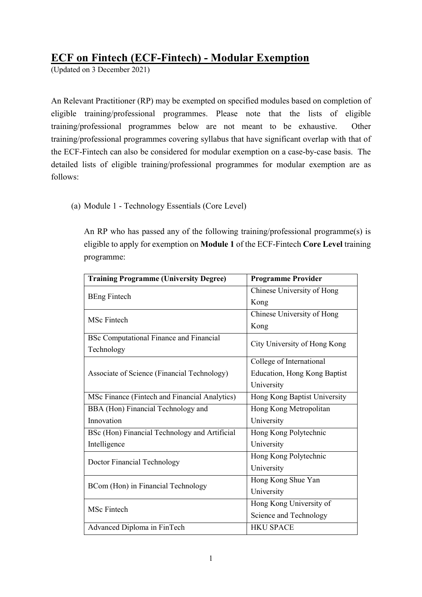## ECF on Fintech (ECF-Fintech) - Modular Exemption

(Updated on 3 December 2021)

 An Relevant Practitioner (RP) may be exempted on specified modules based on completion of eligible training/professional programmes. Please note that the lists of eligible training/professional programmes below are not meant to be exhaustive. Other training/professional programmes covering syllabus that have significant overlap with that of the ECF-Fintech can also be considered for modular exemption on a case-by-case basis. The detailed lists of eligible training/professional programmes for modular exemption are as follows:

(a) Module 1 - Technology Essentials (Core Level)

 An RP who has passed any of the following training/professional programme(s) is eligible to apply for exemption on Module 1 of the ECF-Fintech Core Level training programme:

| <b>Training Programme (University Degree)</b>  | <b>Programme Provider</b>    |
|------------------------------------------------|------------------------------|
| <b>BEng Fintech</b>                            | Chinese University of Hong   |
|                                                | Kong                         |
| MSc Fintech                                    | Chinese University of Hong   |
|                                                | Kong                         |
| <b>BSc Computational Finance and Financial</b> | City University of Hong Kong |
| Technology                                     |                              |
|                                                | College of International     |
| Associate of Science (Financial Technology)    | Education, Hong Kong Baptist |
|                                                | University                   |
| MSc Finance (Fintech and Financial Analytics)  | Hong Kong Baptist University |
| BBA (Hon) Financial Technology and             | Hong Kong Metropolitan       |
| Innovation                                     | University                   |
| BSc (Hon) Financial Technology and Artificial  | Hong Kong Polytechnic        |
| Intelligence                                   | University                   |
| Doctor Financial Technology                    | Hong Kong Polytechnic        |
|                                                | University                   |
| BCom (Hon) in Financial Technology             | Hong Kong Shue Yan           |
|                                                | University                   |
| <b>MSc Fintech</b>                             | Hong Kong University of      |
|                                                | Science and Technology       |
| Advanced Diploma in FinTech                    | <b>HKU SPACE</b>             |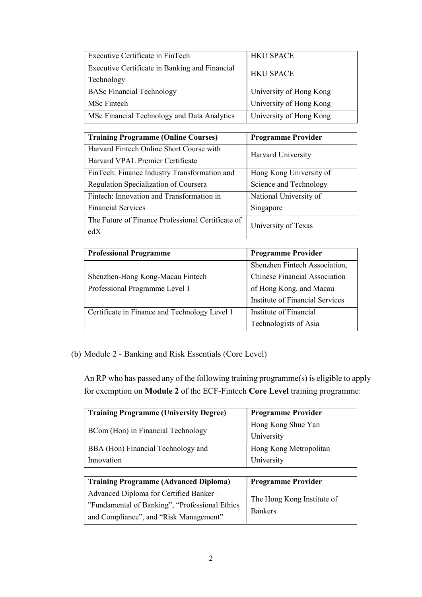| Executive Certificate in FinTech               | <b>HKU SPACE</b>        |
|------------------------------------------------|-------------------------|
| Executive Certificate in Banking and Financial | <b>HKU SPACE</b>        |
| Technology                                     |                         |
| <b>BASc Financial Technology</b>               | University of Hong Kong |
| MSc Fintech                                    | University of Hong Kong |
| MSc Financial Technology and Data Analytics    | University of Hong Kong |

| <b>Training Programme (Online Courses)</b>        | <b>Programme Provider</b> |
|---------------------------------------------------|---------------------------|
| Harvard Fintech Online Short Course with          | <b>Harvard University</b> |
| Harvard VPAL Premier Certificate                  |                           |
| FinTech: Finance Industry Transformation and      | Hong Kong University of   |
| Regulation Specialization of Coursera             | Science and Technology    |
| Fintech: Innovation and Transformation in         | National University of    |
| <b>Financial Services</b>                         | Singapore                 |
| The Future of Finance Professional Certificate of | University of Texas       |
| edX                                               |                           |

| <b>Professional Programme</b>                 | <b>Programme Provider</b>            |
|-----------------------------------------------|--------------------------------------|
|                                               | Shenzhen Fintech Association,        |
| Shenzhen-Hong Kong-Macau Fintech              | <b>Chinese Financial Association</b> |
| Professional Programme Level 1                | of Hong Kong, and Macau              |
|                                               | Institute of Financial Services      |
| Certificate in Finance and Technology Level 1 | Institute of Financial               |
|                                               | Technologists of Asia                |

(b) Module 2 - Banking and Risk Essentials (Core Level)

 An RP who has passed any of the following training programme(s) is eligible to apply for exemption on Module 2 of the ECF-Fintech Core Level training programme:

| <b>Training Programme (University Degree)</b> | <b>Programme Provider</b> |
|-----------------------------------------------|---------------------------|
| BCom (Hon) in Financial Technology            | Hong Kong Shue Yan        |
|                                               | University                |
| BBA (Hon) Financial Technology and            | Hong Kong Metropolitan    |
| Innovation                                    | University                |

| <b>Training Programme (Advanced Diploma)</b>    | <b>Programme Provider</b>                    |
|-------------------------------------------------|----------------------------------------------|
| Advanced Diploma for Certified Banker -         | The Hong Kong Institute of<br><b>Bankers</b> |
| "Fundamental of Banking", "Professional Ethics" |                                              |
| and Compliance", and "Risk Management"          |                                              |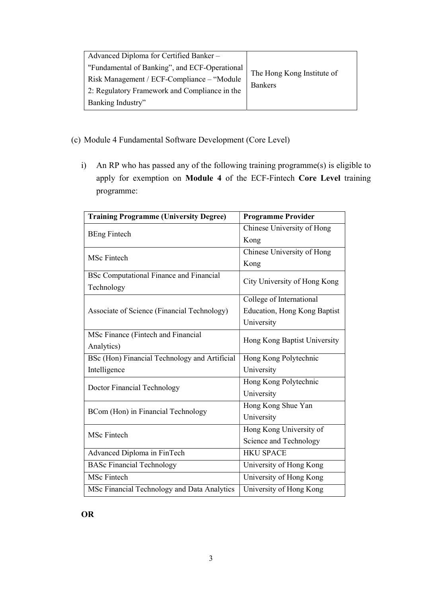| Advanced Diploma for Certified Banker -       |                                              |
|-----------------------------------------------|----------------------------------------------|
| "Fundamental of Banking", and ECF-Operational | The Hong Kong Institute of<br><b>Bankers</b> |
| Risk Management / ECF-Compliance - "Module"   |                                              |
| 2: Regulatory Framework and Compliance in the |                                              |
| Banking Industry"                             |                                              |

## (c) Module 4 Fundamental Software Development (Core Level)

 i) An RP who has passed any of the following training programme(s) is eligible to apply for exemption on Module 4 of the ECF-Fintech Core Level training programme:

| <b>Training Programme (University Degree)</b>  | <b>Programme Provider</b>    |
|------------------------------------------------|------------------------------|
| <b>BEng Fintech</b>                            | Chinese University of Hong   |
|                                                | Kong                         |
| <b>MSc Fintech</b>                             | Chinese University of Hong   |
|                                                | Kong                         |
| <b>BSc Computational Finance and Financial</b> | City University of Hong Kong |
| Technology                                     |                              |
|                                                | College of International     |
| Associate of Science (Financial Technology)    | Education, Hong Kong Baptist |
|                                                | University                   |
| MSc Finance (Fintech and Financial             |                              |
| Analytics)                                     | Hong Kong Baptist University |
| BSc (Hon) Financial Technology and Artificial  | Hong Kong Polytechnic        |
| Intelligence                                   | University                   |
| Doctor Financial Technology                    | Hong Kong Polytechnic        |
|                                                | University                   |
| BCom (Hon) in Financial Technology             | Hong Kong Shue Yan           |
|                                                | University                   |
| MSc Fintech                                    | Hong Kong University of      |
|                                                | Science and Technology       |
| Advanced Diploma in FinTech                    | <b>HKU SPACE</b>             |
| <b>BASc Financial Technology</b>               | University of Hong Kong      |
| <b>MSc Fintech</b>                             | University of Hong Kong      |
| MSc Financial Technology and Data Analytics    | University of Hong Kong      |